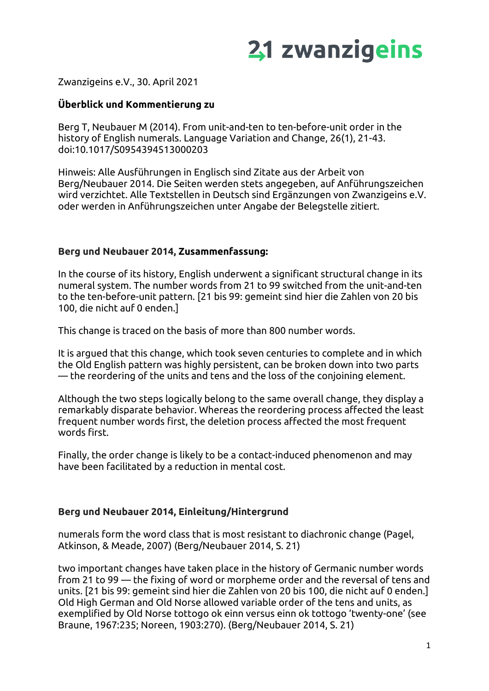

Zwanzigeins e.V., 30. April 2021

#### **Überblick und Kommentierung zu**

Berg T, Neubauer M (2014). From unit-and-ten to ten-before-unit order in the history of English numerals. Language Variation and Change, 26(1), 21-43. doi:10.1017/S0954394513000203

Hinweis: Alle Ausführungen in Englisch sind Zitate aus der Arbeit von Berg/Neubauer 2014. Die Seiten werden stets angegeben, auf Anführungszeichen wird verzichtet. Alle Textstellen in Deutsch sind Ergänzungen von Zwanzigeins e.V. oder werden in Anführungszeichen unter Angabe der Belegstelle zitiert.

#### **Berg und Neubauer 2014, Zusammenfassung:**

In the course of its history, English underwent a significant structural change in its numeral system. The number words from 21 to 99 switched from the unit-and-ten to the ten-before-unit pattern. [21 bis 99: gemeint sind hier die Zahlen von 20 bis 100, die nicht auf 0 enden.]

This change is traced on the basis of more than 800 number words.

It is argued that this change, which took seven centuries to complete and in which the Old English pattern was highly persistent, can be broken down into two parts — the reordering of the units and tens and the loss of the conjoining element.

Although the two steps logically belong to the same overall change, they display a remarkably disparate behavior. Whereas the reordering process affected the least frequent number words first, the deletion process affected the most frequent words first.

Finally, the order change is likely to be a contact-induced phenomenon and may have been facilitated by a reduction in mental cost.

#### **Berg und Neubauer 2014, Einleitung/Hintergrund**

numerals form the word class that is most resistant to diachronic change (Pagel, Atkinson, & Meade, 2007) (Berg/Neubauer 2014, S. 21)

two important changes have taken place in the history of Germanic number words from 21 to 99 — the fixing of word or morpheme order and the reversal of tens and units. [21 bis 99: gemeint sind hier die Zahlen von 20 bis 100, die nicht auf 0 enden.] Old High German and Old Norse allowed variable order of the tens and units, as exemplified by Old Norse tottogo ok einn versus einn ok tottogo 'twenty-one' (see Braune, 1967:235; Noreen, 1903:270). (Berg/Neubauer 2014, S. 21)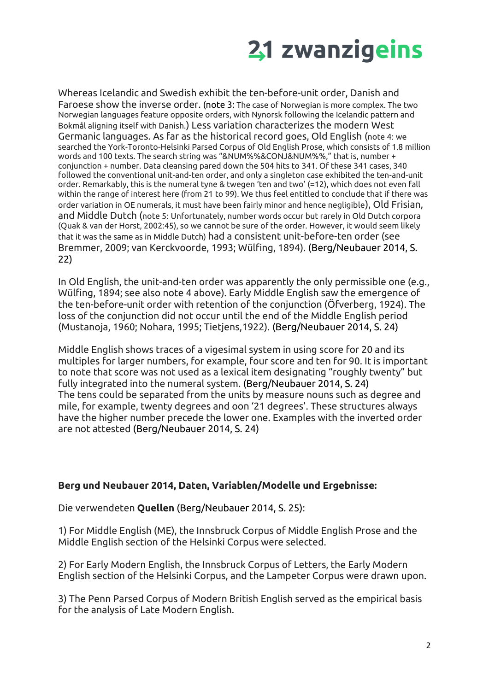

Whereas Icelandic and Swedish exhibit the ten-before-unit order, Danish and Faroese show the inverse order. (note 3: The case of Norwegian is more complex. The two Norwegian languages feature opposite orders, with Nynorsk following the Icelandic pattern and Bokmål aligning itself with Danish.) Less variation characterizes the modern West Germanic languages. As far as the historical record goes, Old English (note 4: we searched the York-Toronto-Helsinki Parsed Corpus of Old English Prose, which consists of 1.8 million words and 100 texts. The search string was "&NUM%%&CONJ&NUM%%," that is, number + conjunction + number. Data cleansing pared down the 504 hits to 341. Of these 341 cases, 340 followed the conventional unit-and-ten order, and only a singleton case exhibited the ten-and-unit order. Remarkably, this is the numeral tyne & twegen 'ten and two' (=12), which does not even fall within the range of interest here (from 21 to 99). We thus feel entitled to conclude that if there was order variation in OE numerals, it must have been fairly minor and hence negligible), Old Frisian, and Middle Dutch (note 5: Unfortunately, number words occur but rarely in Old Dutch corpora (Quak & van der Horst, 2002:45), so we cannot be sure of the order. However, it would seem likely that it was the same as in Middle Dutch) had a consistent unit-before-ten order (see Bremmer, 2009; van Kerckvoorde, 1993; Wülfing, 1894). (Berg/Neubauer 2014, S. 22)

In Old English, the unit-and-ten order was apparently the only permissible one (e.g., Wülfing, 1894; see also note 4 above). Early Middle English saw the emergence of the ten-before-unit order with retention of the conjunction (Öfverberg, 1924). The loss of the conjunction did not occur until the end of the Middle English period (Mustanoja, 1960; Nohara, 1995; Tietjens,1922). (Berg/Neubauer 2014, S. 24)

Middle English shows traces of a vigesimal system in using score for 20 and its multiples for larger numbers, for example, four score and ten for 90. It is important to note that score was not used as a lexical item designating "roughly twenty" but fully integrated into the numeral system. (Berg/Neubauer 2014, S. 24) The tens could be separated from the units by measure nouns such as degree and mile, for example, twenty degrees and oon '21 degrees'. These structures always have the higher number precede the lower one. Examples with the inverted order are not attested (Berg/Neubauer 2014, S. 24)

#### **Berg und Neubauer 2014, Daten, Variablen/Modelle und Ergebnisse:**

Die verwendeten **Quellen** (Berg/Neubauer 2014, S. 25):

1) For Middle English (ME), the Innsbruck Corpus of Middle English Prose and the Middle English section of the Helsinki Corpus were selected.

2) For Early Modern English, the Innsbruck Corpus of Letters, the Early Modern English section of the Helsinki Corpus, and the Lampeter Corpus were drawn upon.

3) The Penn Parsed Corpus of Modern British English served as the empirical basis for the analysis of Late Modern English.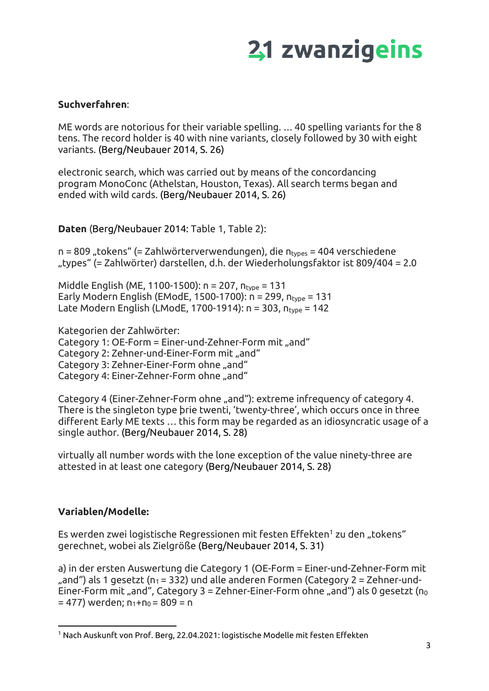### **Suchverfahren**:

ME words are notorious for their variable spelling. … 40 spelling variants for the 8 tens. The record holder is 40 with nine variants, closely followed by 30 with eight variants. (Berg/Neubauer 2014, S. 26)

electronic search, which was carried out by means of the concordancing program MonoConc (Athelstan, Houston, Texas). All search terms began and ended with wild cards. (Berg/Neubauer 2014, S. 26)

**Daten** (Berg/Neubauer 2014: Table 1, Table 2):

n = 809 "tokens" (= Zahlwörterverwendungen), die ntypes = 404 verschiedene "types" (= Zahlwörter) darstellen, d.h. der Wiederholungsfaktor ist 809/404 = 2.0

Middle English (ME, 1100-1500):  $n = 207$ ,  $n_{\text{type}} = 131$ Early Modern English (EModE, 1500-1700):  $n = 299$ ,  $n_{\text{type}} = 131$ Late Modern English (LModE, 1700-1914):  $n = 303$ ,  $n_{type} = 142$ 

Kategorien der Zahlwörter:

Category 1: OE-Form =  $Einer-und-Zehner-Form$  mit "and" Category 2: Zehner-und-Einer-Form mit "and" Category 3: Zehner-Einer-Form ohne "and" Category 4: Einer-Zehner-Form ohne "and"

Category 4 (Einer-Zehner-Form ohne "and"): extreme infrequency of category 4. There is the singleton type þrie twenti, 'twenty-three', which occurs once in three different Early ME texts … this form may be regarded as an idiosyncratic usage of a single author. (Berg/Neubauer 2014, S. 28)

virtually all number words with the lone exception of the value ninety-three are attested in at least one category (Berg/Neubauer 2014, S. 28)

#### **Variablen/Modelle:**

Es werden zwei logistische Regressionen mit festen Effekten<sup>1</sup> zu den "tokens" gerechnet, wobei als Zielgröße (Berg/Neubauer 2014, S. 31)

a) in der ersten Auswertung die Category 1 (OE-Form = Einer-und-Zehner-Form mit ", and") als 1 gesetzt ( $n_1$  = 332) und alle anderen Formen (Category 2 = Zehner-und-Einer-Form mit "and", Category 3 = Zehner-Einer-Form ohne "and") als 0 gesetzt ( $n_0$  $= 477$ ) werden;  $n_1+n_0 = 809 = n$ 

 $^1$  Nach Auskunft von Prof. Berg, 22.04.2021: logistische Modelle mit festen Effekten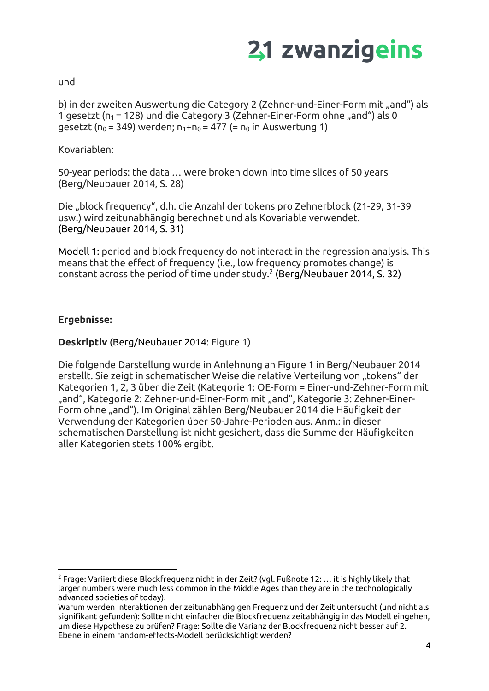

und

b) in der zweiten Auswertung die Category 2 (Zehner-und-Einer-Form mit "and") als 1 gesetzt ( $n_1$  = 128) und die Category 3 (Zehner-Einer-Form ohne "and") als 0 gesetzt ( $p_0 = 349$ ) werden;  $p_1+p_0 = 477$  (=  $p_0$  in Auswertung 1)

Kovariablen:

50-year periods: the data … were broken down into time slices of 50 years (Berg/Neubauer 2014, S. 28)

Die "block frequency", d.h. die Anzahl der tokens pro Zehnerblock (21-29, 31-39 usw.) wird zeitunabhängig berechnet und als Kovariable verwendet. (Berg/Neubauer 2014, S. 31)

Modell 1: period and block frequency do not interact in the regression analysis. This means that the effect of frequency (i.e., low frequency promotes change) is constant across the period of time under study.<sup>2</sup> (Berg/Neubauer 2014, S. 32)

### **Ergebnisse:**

**Deskriptiv** (Berg/Neubauer 2014: Figure 1)

Die folgende Darstellung wurde in Anlehnung an Figure 1 in Berg/Neubauer 2014 erstellt. Sie zeigt in schematischer Weise die relative Verteilung von "tokens" der Kategorien 1, 2, 3 über die Zeit (Kategorie 1: OE-Form = Einer-und-Zehner-Form mit "and", Kategorie 2: Zehner-und-Einer-Form mit "and", Kategorie 3: Zehner-Einer-Form ohne "and"). Im Original zählen Berg/Neubauer 2014 die Häufigkeit der Verwendung der Kategorien über 50-Jahre-Perioden aus. Anm.: in dieser schematischen Darstellung ist nicht gesichert, dass die Summe der Häufigkeiten aller Kategorien stets 100% ergibt.

 $2$  Frage: Variiert diese Blockfrequenz nicht in der Zeit? (vgl. Fußnote 12: ... it is highly likely that larger numbers were much less common in the Middle Ages than they are in the technologically advanced societies of today).

Warum werden Interaktionen der zeitunabhängigen Frequenz und der Zeit untersucht (und nicht als signifikant gefunden): Sollte nicht einfacher die Blockfrequenz zeitabhängig in das Modell eingehen, um diese Hypothese zu prüfen? Frage: Sollte die Varianz der Blockfrequenz nicht besser auf 2. Ebene in einem random-effects-Modell berücksichtigt werden?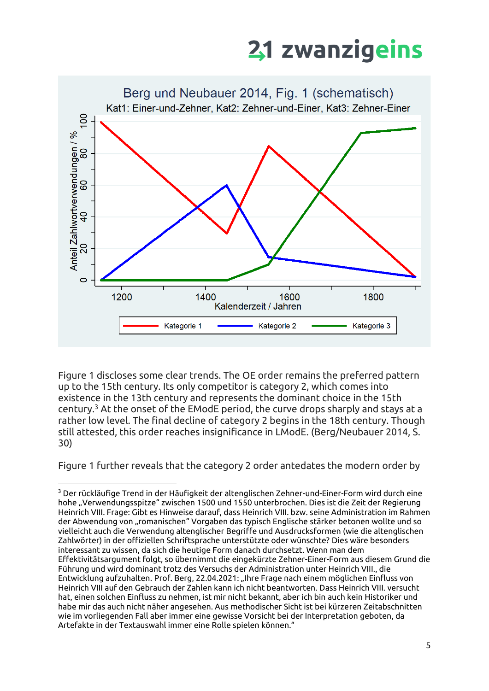

Figure 1 discloses some clear trends. The OE order remains the preferred pattern up to the 15th century. Its only competitor is category 2, which comes into existence in the 13th century and represents the dominant choice in the 15th century.<sup>3</sup> At the onset of the EModE period, the curve drops sharply and stays at a rather low level. The final decline of category 2 begins in the 18th century. Though still attested, this order reaches insignificance in LModE. (Berg/Neubauer 2014, S. 30)

Figure 1 further reveals that the category 2 order antedates the modern order by

 $3$  Der rückläufige Trend in der Häufigkeit der altenglischen Zehner-und-Einer-Form wird durch eine hohe "Verwendungsspitze" zwischen 1500 und 1550 unterbrochen. Dies ist die Zeit der Regierung Heinrich VIII. Frage: Gibt es Hinweise darauf, dass Heinrich VIII. bzw. seine Administration im Rahmen der Abwendung von "romanischen" Vorgaben das typisch Englische stärker betonen wollte und so vielleicht auch die Verwendung altenglischer Begriffe und Ausdrucksformen (wie die altenglischen Zahlwörter) in der offiziellen Schriftsprache unterstützte oder wünschte? Dies wäre besonders interessant zu wissen, da sich die heutige Form danach durchsetzt. Wenn man dem Effektivitätsargument folgt, so übernimmt die eingekürzte Zehner-Einer-Form aus diesem Grund die Führung und wird dominant trotz des Versuchs der Administration unter Heinrich VIII., die Entwicklung aufzuhalten. Prof. Berg, 22.04.2021: "Ihre Frage nach einem möglichen Einfluss von Heinrich VIII auf den Gebrauch der Zahlen kann ich nicht beantworten. Dass Heinrich VIII. versucht hat, einen solchen Einfluss zu nehmen, ist mir nicht bekannt, aber ich bin auch kein Historiker und habe mir das auch nicht näher angesehen. Aus methodischer Sicht ist bei kürzeren Zeitabschnitten wie im vorliegenden Fall aber immer eine gewisse Vorsicht bei der Interpretation geboten, da Artefakte in der Textauswahl immer eine Rolle spielen können."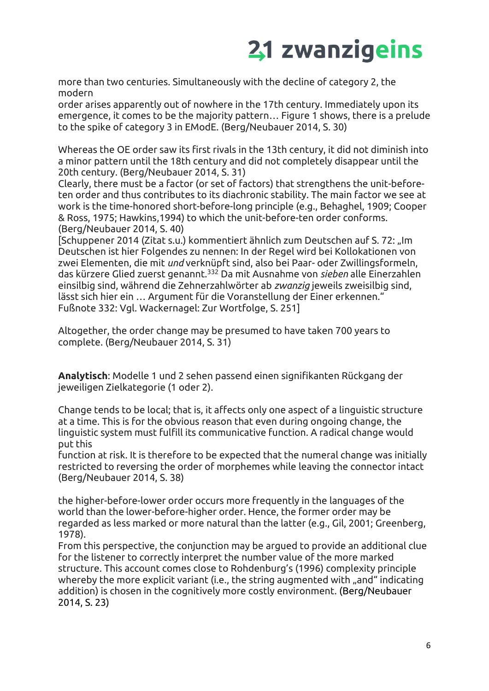more than two centuries. Simultaneously with the decline of category 2, the modern

order arises apparently out of nowhere in the 17th century. Immediately upon its emergence, it comes to be the majority pattern… Figure 1 shows, there is a prelude to the spike of category 3 in EModE. (Berg/Neubauer 2014, S. 30)

Whereas the OE order saw its first rivals in the 13th century, it did not diminish into a minor pattern until the 18th century and did not completely disappear until the 20th century. (Berg/Neubauer 2014, S. 31)

Clearly, there must be a factor (or set of factors) that strengthens the unit-beforeten order and thus contributes to its diachronic stability. The main factor we see at work is the time-honored short-before-long principle (e.g., Behaghel, 1909; Cooper & Ross, 1975; Hawkins,1994) to which the unit-before-ten order conforms. (Berg/Neubauer 2014, S. 40)

[Schuppener 2014 (Zitat s.u.) kommentiert ähnlich zum Deutschen auf S. 72: "Im Deutschen ist hier Folgendes zu nennen: In der Regel wird bei Kollokationen von zwei Elementen, die mit *und* verknüpft sind, also bei Paar- oder Zwillingsformeln, das kürzere Glied zuerst genannt.<sup>332</sup> Da mit Ausnahme von *sieben* alle Einerzahlen einsilbig sind, während die Zehnerzahlwörter ab *zwanzig* jeweils zweisilbig sind, lässt sich hier ein … Argument für die Voranstellung der Einer erkennen." Fußnote 332: Vgl. Wackernagel: Zur Wortfolge, S. 251]

Altogether, the order change may be presumed to have taken 700 years to complete. (Berg/Neubauer 2014, S. 31)

**Analytisch**: Modelle 1 und 2 sehen passend einen signifikanten Rückgang der jeweiligen Zielkategorie (1 oder 2).

Change tends to be local; that is, it affects only one aspect of a linguistic structure at a time. This is for the obvious reason that even during ongoing change, the linguistic system must fulfill its communicative function. A radical change would put this

function at risk. It is therefore to be expected that the numeral change was initially restricted to reversing the order of morphemes while leaving the connector intact (Berg/Neubauer 2014, S. 38)

the higher-before-lower order occurs more frequently in the languages of the world than the lower-before-higher order. Hence, the former order may be regarded as less marked or more natural than the latter (e.g., Gil, 2001; Greenberg, 1978).

From this perspective, the conjunction may be argued to provide an additional clue for the listener to correctly interpret the number value of the more marked structure. This account comes close to Rohdenburg's (1996) complexity principle whereby the more explicit variant (i.e., the string augmented with "and" indicating addition) is chosen in the cognitively more costly environment. (Berg/Neubauer 2014, S. 23)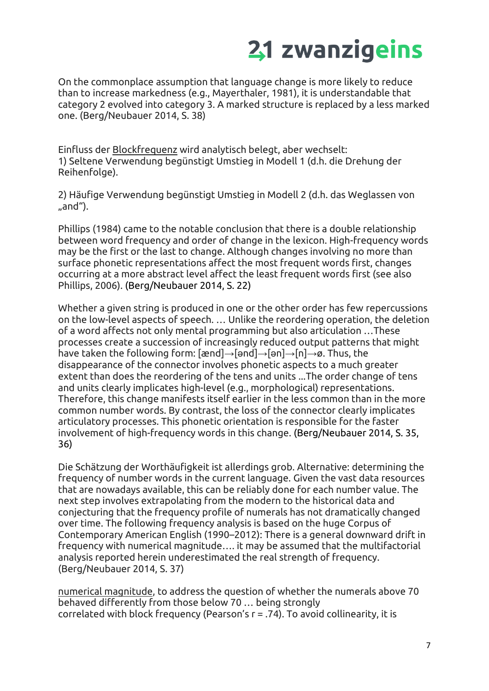On the commonplace assumption that language change is more likely to reduce than to increase markedness (e.g., Mayerthaler, 1981), it is understandable that category 2 evolved into category 3. A marked structure is replaced by a less marked one. (Berg/Neubauer 2014, S. 38)

Einfluss der Blockfrequenz wird analytisch belegt, aber wechselt: 1) Seltene Verwendung begünstigt Umstieg in Modell 1 (d.h. die Drehung der Reihenfolge).

2) Häufige Verwendung begünstigt Umstieg in Modell 2 (d.h. das Weglassen von "and").

Phillips (1984) came to the notable conclusion that there is a double relationship between word frequency and order of change in the lexicon. High-frequency words may be the first or the last to change. Although changes involving no more than surface phonetic representations affect the most frequent words first, changes occurring at a more abstract level affect the least frequent words first (see also Phillips, 2006). (Berg/Neubauer 2014, S. 22)

Whether a given string is produced in one or the other order has few repercussions on the low-level aspects of speech. … Unlike the reordering operation, the deletion of a word affects not only mental programming but also articulation …These processes create a succession of increasingly reduced output patterns that might have taken the following form: [ænd]→[ənd]→[ən]→[n]→ø. Thus, the disappearance of the connector involves phonetic aspects to a much greater extent than does the reordering of the tens and units ...The order change of tens and units clearly implicates high-level (e.g., morphological) representations. Therefore, this change manifests itself earlier in the less common than in the more common number words. By contrast, the loss of the connector clearly implicates articulatory processes. This phonetic orientation is responsible for the faster involvement of high-frequency words in this change. (Berg/Neubauer 2014, S. 35, 36)

Die Schätzung der Worthäufigkeit ist allerdings grob. Alternative: determining the frequency of number words in the current language. Given the vast data resources that are nowadays available, this can be reliably done for each number value. The next step involves extrapolating from the modern to the historical data and conjecturing that the frequency profile of numerals has not dramatically changed over time. The following frequency analysis is based on the huge Corpus of Contemporary American English (1990–2012): There is a general downward drift in frequency with numerical magnitude…. it may be assumed that the multifactorial analysis reported herein underestimated the real strength of frequency. (Berg/Neubauer 2014, S. 37)

numerical magnitude, to address the question of whether the numerals above 70 behaved differently from those below 70 … being strongly correlated with block frequency (Pearson's r = .74). To avoid collinearity, it is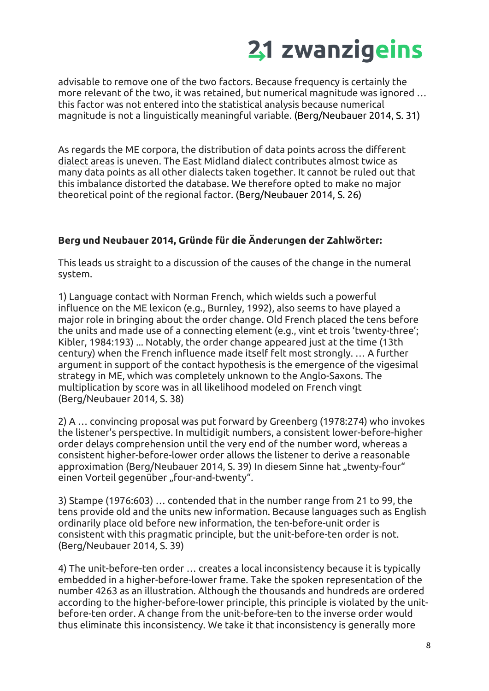advisable to remove one of the two factors. Because frequency is certainly the more relevant of the two, it was retained, but numerical magnitude was ignored … this factor was not entered into the statistical analysis because numerical magnitude is not a linguistically meaningful variable. (Berg/Neubauer 2014, S. 31)

As regards the ME corpora, the distribution of data points across the different dialect areas is uneven. The East Midland dialect contributes almost twice as many data points as all other dialects taken together. It cannot be ruled out that this imbalance distorted the database. We therefore opted to make no major theoretical point of the regional factor. (Berg/Neubauer 2014, S. 26)

### **Berg und Neubauer 2014, Gründe für die Änderungen der Zahlwörter:**

This leads us straight to a discussion of the causes of the change in the numeral system.

1) Language contact with Norman French, which wields such a powerful influence on the ME lexicon (e.g., Burnley, 1992), also seems to have played a major role in bringing about the order change. Old French placed the tens before the units and made use of a connecting element (e.g., vint et trois 'twenty-three'; Kibler, 1984:193) ... Notably, the order change appeared just at the time (13th century) when the French influence made itself felt most strongly. … A further argument in support of the contact hypothesis is the emergence of the vigesimal strategy in ME, which was completely unknown to the Anglo-Saxons. The multiplication by score was in all likelihood modeled on French vingt (Berg/Neubauer 2014, S. 38)

2) A … convincing proposal was put forward by Greenberg (1978:274) who invokes the listener's perspective. In multidigit numbers, a consistent lower-before-higher order delays comprehension until the very end of the number word, whereas a consistent higher-before-lower order allows the listener to derive a reasonable approximation (Berg/Neubauer 2014, S. 39) In diesem Sinne hat "twenty-four" einen Vorteil gegenüber "four-and-twenty".

3) Stampe (1976:603) … contended that in the number range from 21 to 99, the tens provide old and the units new information. Because languages such as English ordinarily place old before new information, the ten-before-unit order is consistent with this pragmatic principle, but the unit-before-ten order is not. (Berg/Neubauer 2014, S. 39)

4) The unit-before-ten order … creates a local inconsistency because it is typically embedded in a higher-before-lower frame. Take the spoken representation of the number 4263 as an illustration. Although the thousands and hundreds are ordered according to the higher-before-lower principle, this principle is violated by the unitbefore-ten order. A change from the unit-before-ten to the inverse order would thus eliminate this inconsistency. We take it that inconsistency is generally more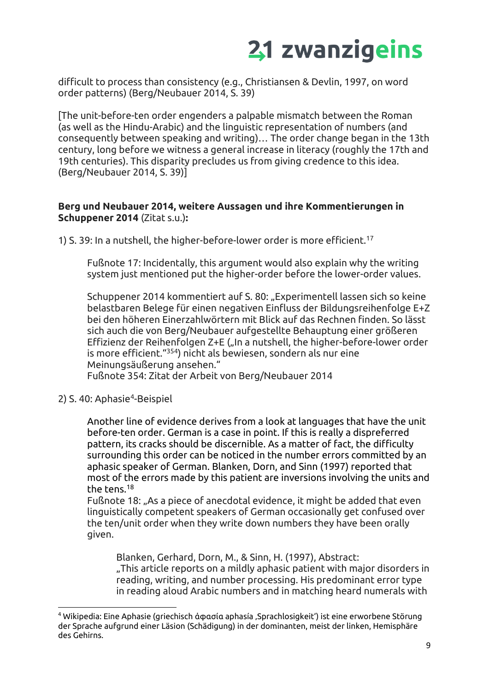difficult to process than consistency (e.g., Christiansen & Devlin, 1997, on word order patterns) (Berg/Neubauer 2014, S. 39)

[The unit-before-ten order engenders a palpable mismatch between the Roman (as well as the Hindu-Arabic) and the linguistic representation of numbers (and consequently between speaking and writing)… The order change began in the 13th century, long before we witness a general increase in literacy (roughly the 17th and 19th centuries). This disparity precludes us from giving credence to this idea. (Berg/Neubauer 2014, S. 39)]

#### **Berg und Neubauer 2014, weitere Aussagen und ihre Kommentierungen in Schuppener 2014** (Zitat s.u.)**:**

1) S. 39: In a nutshell, the higher-before-lower order is more efficient.<sup>17</sup>

Fußnote 17: Incidentally, this argument would also explain why the writing system just mentioned put the higher-order before the lower-order values.

Schuppener 2014 kommentiert auf S. 80: "Experimentell lassen sich so keine belastbaren Belege für einen negativen Einfluss der Bildungsreihenfolge E+Z bei den höheren Einerzahlwörtern mit Blick auf das Rechnen finden. So lässt sich auch die von Berg/Neubauer aufgestellte Behauptung einer größeren Effizienz der Reihenfolgen Z+E ("In a nutshell, the higher-before-lower order is more efficient."<sup>354</sup>) nicht als bewiesen, sondern als nur eine Meinungsäußerung ansehen."

Fußnote 354: Zitat der Arbeit von Berg/Neubauer 2014

#### 2) S. 40: Aphasie<sup>4</sup>-Beispiel

Another line of evidence derives from a look at languages that have the unit before-ten order. German is a case in point. If this is really a dispreferred pattern, its cracks should be discernible. As a matter of fact, the difficulty surrounding this order can be noticed in the number errors committed by an aphasic speaker of German. Blanken, Dorn, and Sinn (1997) reported that most of the errors made by this patient are inversions involving the units and the tens.<sup>18</sup>

Fußnote 18: "As a piece of anecdotal evidence, it might be added that even linguistically competent speakers of German occasionally get confused over the ten/unit order when they write down numbers they have been orally given.

Blanken, Gerhard, Dorn, M., & Sinn, H. (1997), Abstract: "This article reports on a mildly aphasic patient with major disorders in reading, writing, and number processing. His predominant error type in reading aloud Arabic numbers and in matching heard numerals with

<sup>4</sup> Wikipedia: Eine Aphasie (griechisch ἀφασία aphasía 'Sprachlosigkeit') ist eine erworbene Störung der Sprache aufgrund einer Läsion (Schädigung) in der dominanten, meist der linken, Hemisphäre des Gehirns.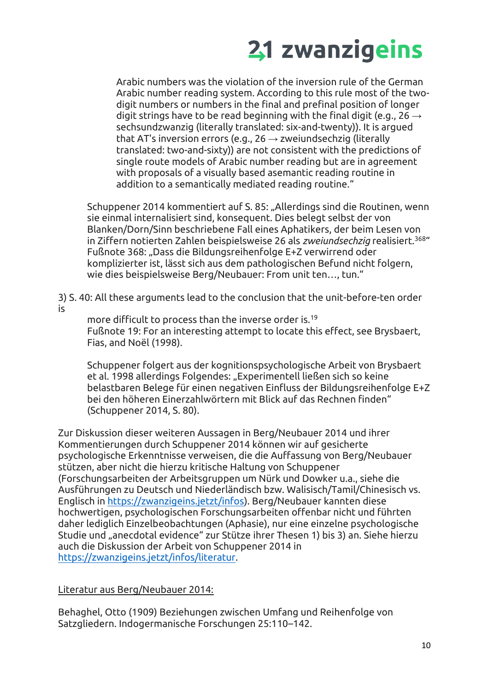Arabic numbers was the violation of the inversion rule of the German Arabic number reading system. According to this rule most of the twodigit numbers or numbers in the final and prefinal position of longer digit strings have to be read beginning with the final digit (e.g., 26  $\rightarrow$ sechsundzwanzig (literally translated: six-and-twenty)). It is argued that AT's inversion errors (e.g., 26  $\rightarrow$  zweiundsechzig (literally translated: two-and-sixty)) are not consistent with the predictions of single route models of Arabic number reading but are in agreement with proposals of a visually based asemantic reading routine in addition to a semantically mediated reading routine."

Schuppener 2014 kommentiert auf S. 85: "Allerdings sind die Routinen, wenn sie einmal internalisiert sind, konsequent. Dies belegt selbst der von Blanken/Dorn/Sinn beschriebene Fall eines Aphatikers, der beim Lesen von in Ziffern notierten Zahlen beispielsweise 26 als *zweiundsechzig* realisiert.<sup>368</sup>" Fußnote 368: "Dass die Bildungsreihenfolge E+Z verwirrend oder komplizierter ist, lässt sich aus dem pathologischen Befund nicht folgern, wie dies beispielsweise Berg/Neubauer: From unit ten…, tun."

3) S. 40: All these arguments lead to the conclusion that the unit-before-ten order is

more difficult to process than the inverse order is.<sup>19</sup> Fußnote 19: For an interesting attempt to locate this effect, see Brysbaert, Fias, and Noël (1998).

Schuppener folgert aus der kognitionspsychologische Arbeit von Brysbaert et al. 1998 allerdings Folgendes: "Experimentell ließen sich so keine belastbaren Belege für einen negativen Einfluss der Bildungsreihenfolge E+Z bei den höheren Einerzahlwörtern mit Blick auf das Rechnen finden" (Schuppener 2014, S. 80).

Zur Diskussion dieser weiteren Aussagen in Berg/Neubauer 2014 und ihrer Kommentierungen durch Schuppener 2014 können wir auf gesicherte psychologische Erkenntnisse verweisen, die die Auffassung von Berg/Neubauer stützen, aber nicht die hierzu kritische Haltung von Schuppener (Forschungsarbeiten der Arbeitsgruppen um Nürk und Dowker u.a., siehe die Ausführungen zu Deutsch und Niederländisch bzw. Walisisch/Tamil/Chinesisch vs. Englisch in [https://zwanzigeins.jetzt/infos\)](https://zwanzigeins.jetzt/infos). Berg/Neubauer kannten diese hochwertigen, psychologischen Forschungsarbeiten offenbar nicht und führten daher lediglich Einzelbeobachtungen (Aphasie), nur eine einzelne psychologische Studie und "anecdotal evidence" zur Stütze ihrer Thesen 1) bis 3) an. Siehe hierzu auch die Diskussion der Arbeit von Schuppener 2014 in [https://zwanzigeins.jetzt/infos/literatur.](https://zwanzigeins.jetzt/infos/literatur)

Literatur aus Berg/Neubauer 2014:

Behaghel, Otto (1909) Beziehungen zwischen Umfang und Reihenfolge von Satzgliedern. Indogermanische Forschungen 25:110–142.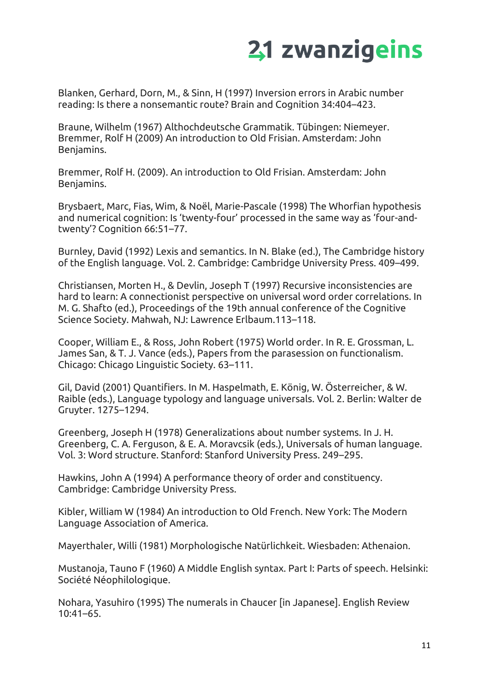Blanken, Gerhard, Dorn, M., & Sinn, H (1997) Inversion errors in Arabic number reading: Is there a nonsemantic route? Brain and Cognition 34:404–423.

Braune, Wilhelm (1967) Althochdeutsche Grammatik. Tübingen: Niemeyer. Bremmer, Rolf H (2009) An introduction to Old Frisian. Amsterdam: John Benjamins.

Bremmer, Rolf H. (2009). An introduction to Old Frisian. Amsterdam: John Benjamins.

Brysbaert, Marc, Fias, Wim, & Noël, Marie-Pascale (1998) The Whorfian hypothesis and numerical cognition: Is 'twenty-four' processed in the same way as 'four-andtwenty'? Cognition 66:51–77.

Burnley, David (1992) Lexis and semantics. In N. Blake (ed.), The Cambridge history of the English language. Vol. 2. Cambridge: Cambridge University Press. 409–499.

Christiansen, Morten H., & Devlin, Joseph T (1997) Recursive inconsistencies are hard to learn: A connectionist perspective on universal word order correlations. In M. G. Shafto (ed.), Proceedings of the 19th annual conference of the Cognitive Science Society. Mahwah, NJ: Lawrence Erlbaum.113–118.

Cooper, William E., & Ross, John Robert (1975) World order. In R. E. Grossman, L. James San, & T. J. Vance (eds.), Papers from the parasession on functionalism. Chicago: Chicago Linguistic Society. 63–111.

Gil, David (2001) Quantifiers. In M. Haspelmath, E. König, W. Österreicher, & W. Raible (eds.), Language typology and language universals. Vol. 2. Berlin: Walter de Gruyter. 1275–1294.

Greenberg, Joseph H (1978) Generalizations about number systems. In J. H. Greenberg, C. A. Ferguson, & E. A. Moravcsik (eds.), Universals of human language. Vol. 3: Word structure. Stanford: Stanford University Press. 249–295.

Hawkins, John A (1994) A performance theory of order and constituency. Cambridge: Cambridge University Press.

Kibler, William W (1984) An introduction to Old French. New York: The Modern Language Association of America.

Mayerthaler, Willi (1981) Morphologische Natürlichkeit. Wiesbaden: Athenaion.

Mustanoja, Tauno F (1960) A Middle English syntax. Part I: Parts of speech. Helsinki: Société Néophilologique.

Nohara, Yasuhiro (1995) The numerals in Chaucer [in Japanese]. English Review 10:41–65.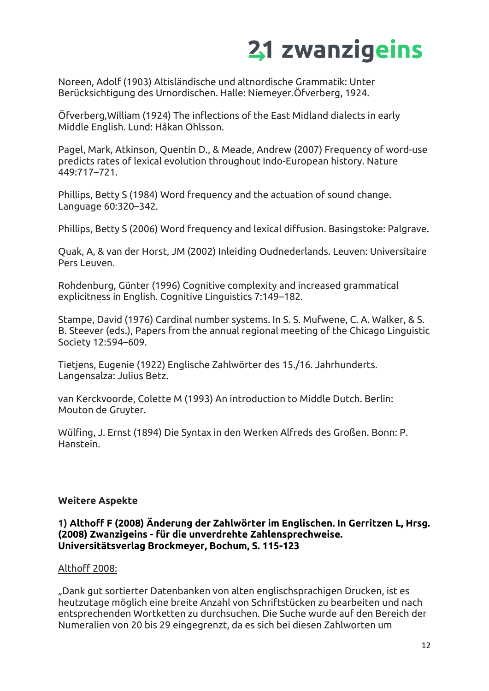Noreen, Adolf (1903) Altisländische und altnordische Grammatik: Unter Berücksichtigung des Urnordischen. Halle: Niemeyer.Öfverberg, 1924.

Öfverberg,William (1924) The inflections of the East Midland dialects in early Middle English. Lund: Håkan Ohlsson.

Pagel, Mark, Atkinson, Quentin D., & Meade, Andrew (2007) Frequency of word-use predicts rates of lexical evolution throughout Indo-European history. Nature 449:717–721.

Phillips, Betty S (1984) Word frequency and the actuation of sound change. Language 60:320–342.

Phillips, Betty S (2006) Word frequency and lexical diffusion. Basingstoke: Palgrave.

Quak, A, & van der Horst, JM (2002) Inleiding Oudnederlands. Leuven: Universitaire Pers Leuven.

Rohdenburg, Günter (1996) Cognitive complexity and increased grammatical explicitness in English. Cognitive Linguistics 7:149–182.

Stampe, David (1976) Cardinal number systems. In S. S. Mufwene, C. A. Walker, & S. B. Steever (eds.), Papers from the annual regional meeting of the Chicago Linguistic Society 12:594–609.

Tietjens, Eugenie (1922) Englische Zahlwörter des 15./16. Jahrhunderts. Langensalza: Julius Betz.

van Kerckvoorde, Colette M (1993) An introduction to Middle Dutch. Berlin: Mouton de Gruyter.

Wülfing, J. Ernst (1894) Die Syntax in den Werken Alfreds des Großen. Bonn: P. Hanstein.

#### **Weitere Aspekte**

#### **1) Althoff F (2008) Änderung der Zahlwörter im Englischen. In Gerritzen L, Hrsg. (2008) Zwanzigeins - für die unverdrehte Zahlensprechweise. Universitätsverlag Brockmeyer, Bochum, S. 115-123**

#### Althoff 2008:

"Dank gut sortierter Datenbanken von alten englischsprachigen Drucken, ist es heutzutage möglich eine breite Anzahl von Schriftstücken zu bearbeiten und nach entsprechenden Wortketten zu durchsuchen. Die Suche wurde auf den Bereich der Numeralien von 20 bis 29 eingegrenzt, da es sich bei diesen Zahlworten um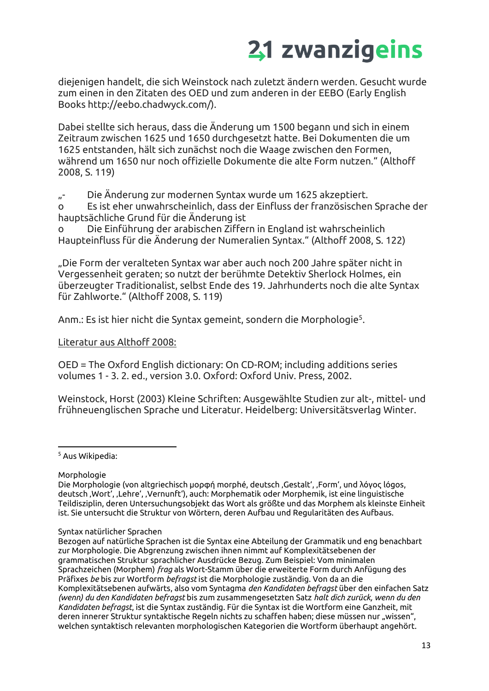diejenigen handelt, die sich Weinstock nach zuletzt ändern werden. Gesucht wurde zum einen in den Zitaten des OED und zum anderen in der EEBO (Early English Books http://eebo.chadwyck.com/).

Dabei stellte sich heraus, dass die Änderung um 1500 begann und sich in einem Zeitraum zwischen 1625 und 1650 durchgesetzt hatte. Bei Dokumenten die um 1625 entstanden, hält sich zunächst noch die Waage zwischen den Formen, während um 1650 nur noch offizielle Dokumente die alte Form nutzen." (Althoff 2008, S. 119)

"- Die Änderung zur modernen Syntax wurde um 1625 akzeptiert.

o Es ist eher unwahrscheinlich, dass der Einfluss der französischen Sprache der hauptsächliche Grund für die Änderung ist

o Die Einführung der arabischen Ziffern in England ist wahrscheinlich Haupteinfluss für die Änderung der Numeralien Syntax." (Althoff 2008, S. 122)

"Die Form der veralteten Syntax war aber auch noch 200 Jahre später nicht in Vergessenheit geraten; so nutzt der berühmte Detektiv Sherlock Holmes, ein überzeugter Traditionalist, selbst Ende des 19. Jahrhunderts noch die alte Syntax für Zahlworte." (Althoff 2008, S. 119)

Anm.: Es ist hier nicht die Syntax gemeint, sondern die Morphologie<sup>5</sup>.

Literatur aus Althoff 2008:

OED = The Oxford English dictionary: On CD-ROM; including additions series volumes 1 - 3. 2. ed., version 3.0. Oxford: Oxford Univ. Press, 2002.

Weinstock, Horst (2003) Kleine Schriften: Ausgewählte Studien zur alt-, mittel- und frühneuenglischen Sprache und Literatur. Heidelberg: Universitätsverlag Winter.

<sup>5</sup> Aus Wikipedia:

#### Morphologie

Syntax natürlicher Sprachen

Bezogen auf natürliche Sprachen ist die Syntax eine Abteilung der Grammatik und eng benachbart zur Morphologie. Die Abgrenzung zwischen ihnen nimmt auf Komplexitätsebenen der grammatischen Struktur sprachlicher Ausdrücke Bezug. Zum Beispiel: Vom minimalen Sprachzeichen (Morphem) *frag* als Wort-Stamm über die erweiterte Form durch Anfügung des Präfixes *be* bis zur Wortform *befragst* ist die Morphologie zuständig. Von da an die Komplexitätsebenen aufwärts, also vom Syntagma *den Kandidaten befragst* über den einfachen Satz *(wenn) du den Kandidaten befragst* bis zum zusammengesetzten Satz *halt dich zurück, wenn du den Kandidaten befragst*, ist die Syntax zuständig. Für die Syntax ist die Wortform eine Ganzheit, mit deren innerer Struktur syntaktische Regeln nichts zu schaffen haben; diese müssen nur "wissen", welchen syntaktisch relevanten morphologischen Kategorien die Wortform überhaupt angehört.

Die Morphologie (von altgriechisch μορφή morphé, deutsch 'Gestalt', 'Form', und λόγος lógos, deutsch 'Wort', 'Lehre', 'Vernunft'), auch: Morphematik oder Morphemik, ist eine linguistische Teildisziplin, deren Untersuchungsobjekt das Wort als größte und das Morphem als kleinste Einheit ist. Sie untersucht die Struktur von Wörtern, deren Aufbau und Regularitäten des Aufbaus.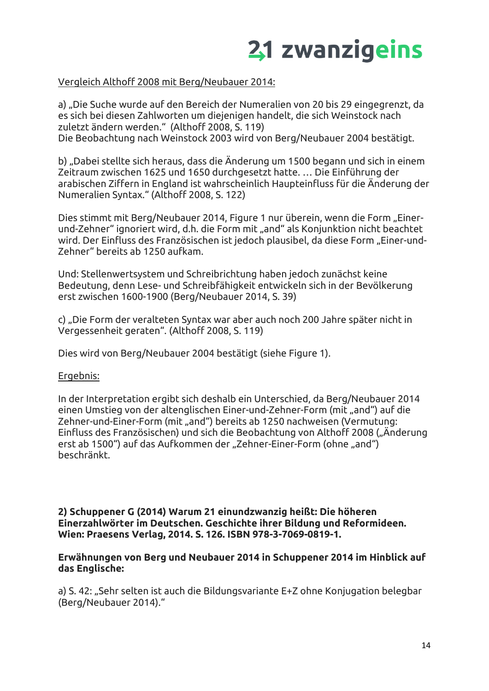

#### Vergleich Althoff 2008 mit Berg/Neubauer 2014:

a) "Die Suche wurde auf den Bereich der Numeralien von 20 bis 29 eingegrenzt, da es sich bei diesen Zahlworten um diejenigen handelt, die sich Weinstock nach zuletzt ändern werden." (Althoff 2008, S. 119) Die Beobachtung nach Weinstock 2003 wird von Berg/Neubauer 2004 bestätigt.

b) "Dabei stellte sich heraus, dass die Änderung um 1500 begann und sich in einem Zeitraum zwischen 1625 und 1650 durchgesetzt hatte. … Die Einführung der arabischen Ziffern in England ist wahrscheinlich Haupteinfluss für die Änderung der Numeralien Syntax." (Althoff 2008, S. 122)

Dies stimmt mit Berg/Neubauer 2014, Figure 1 nur überein, wenn die Form "Einerund-Zehner" ignoriert wird, d.h. die Form mit "and" als Konjunktion nicht beachtet wird. Der Einfluss des Französischen ist jedoch plausibel, da diese Form "Einer-und-Zehner" bereits ab 1250 aufkam.

Und: Stellenwertsystem und Schreibrichtung haben jedoch zunächst keine Bedeutung, denn Lese- und Schreibfähigkeit entwickeln sich in der Bevölkerung erst zwischen 1600-1900 (Berg/Neubauer 2014, S. 39)

c) "Die Form der veralteten Syntax war aber auch noch 200 Jahre später nicht in Vergessenheit geraten". (Althoff 2008, S. 119)

Dies wird von Berg/Neubauer 2004 bestätigt (siehe Figure 1).

#### Ergebnis:

In der Interpretation ergibt sich deshalb ein Unterschied, da Berg/Neubauer 2014 einen Umstieg von der altenglischen Einer-und-Zehner-Form (mit "and") auf die Zehner-und-Einer-Form (mit "and") bereits ab 1250 nachweisen (Vermutung: Einfluss des Französischen) und sich die Beobachtung von Althoff 2008 ("Änderung erst ab 1500") auf das Aufkommen der "Zehner-Einer-Form (ohne "and") beschränkt.

**2) Schuppener G (2014) Warum 21 einundzwanzig heißt: Die höheren Einerzahlwörter im Deutschen. Geschichte ihrer Bildung und Reformideen. Wien: Praesens Verlag, 2014. S. 126. ISBN 978-3-7069-0819-1.** 

#### **Erwähnungen von Berg und Neubauer 2014 in Schuppener 2014 im Hinblick auf das Englische:**

a) S. 42: "Sehr selten ist auch die Bildungsvariante E+Z ohne Konjugation belegbar (Berg/Neubauer 2014)."